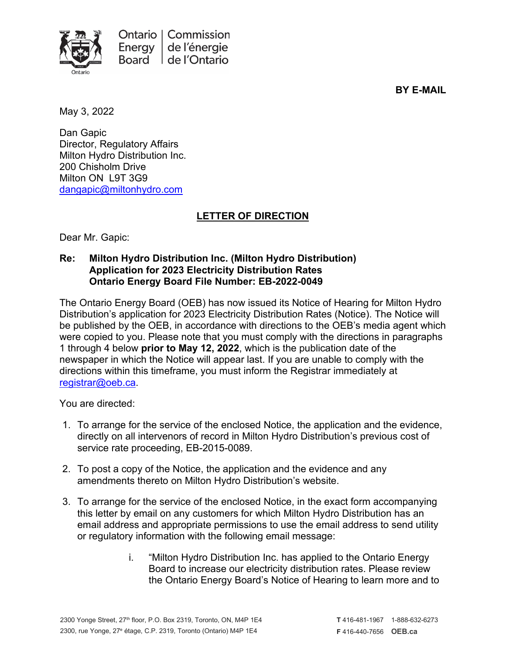

**BY E-MAIL**

May 3, 2022

Dan Gapic Director, Regulatory Affairs Milton Hydro Distribution Inc. 200 Chisholm Drive Milton ON L9T 3G9 [dangapic@miltonhydro.com](mailto:dangapic@miltonhydro.com)

## **LETTER OF DIRECTION**

Dear Mr. Gapic:

## **Re: Milton Hydro Distribution Inc. (Milton Hydro Distribution) Application for 2023 Electricity Distribution Rates Ontario Energy Board File Number: EB-2022-0049**

The Ontario Energy Board (OEB) has now issued its Notice of Hearing for Milton Hydro Distribution's application for 2023 Electricity Distribution Rates (Notice). The Notice will be published by the OEB, in accordance with directions to the OEB's media agent which were copied to you. Please note that you must comply with the directions in paragraphs 1 through 4 below **prior to May 12, 2022**, which is the publication date of the newspaper in which the Notice will appear last. If you are unable to comply with the directions within this timeframe, you must inform the Registrar immediately at [registrar@oeb.ca.](mailto:registrar@oeb.ca)

You are directed:

- 1. To arrange for the service of the enclosed Notice, the application and the evidence, directly on all intervenors of record in Milton Hydro Distribution's previous cost of service rate proceeding, EB-2015-0089.
- 2. To post a copy of the Notice, the application and the evidence and any amendments thereto on Milton Hydro Distribution's website.
- 3. To arrange for the service of the enclosed Notice, in the exact form accompanying this letter by email on any customers for which Milton Hydro Distribution has an email address and appropriate permissions to use the email address to send utility or regulatory information with the following email message:
	- i. "Milton Hydro Distribution Inc. has applied to the Ontario Energy Board to increase our electricity distribution rates. Please review the Ontario Energy Board's Notice of Hearing to learn more and to